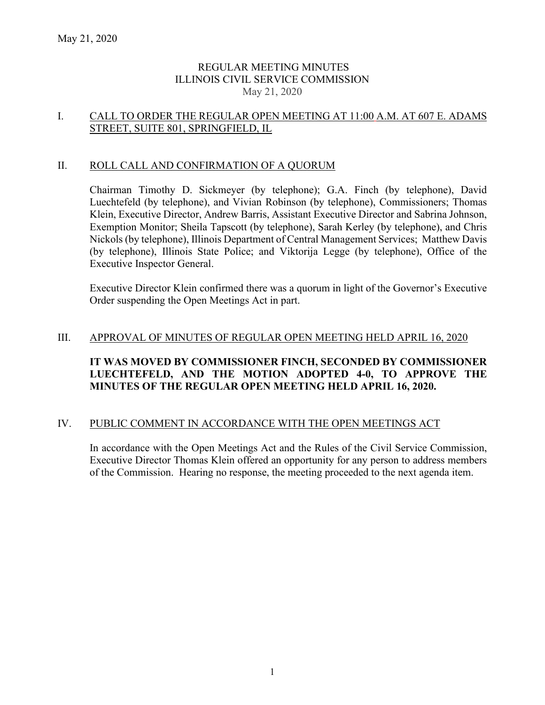## REGULAR MEETING MINUTES ILLINOIS CIVIL SERVICE COMMISSION May 21, 2020

## I. CALL TO ORDER THE REGULAR OPEN MEETING AT 11:00 A.M. AT 607 E. ADAMS STREET, SUITE 801, SPRINGFIELD, IL

## II. ROLL CALL AND CONFIRMATION OF A QUORUM

Chairman Timothy D. Sickmeyer (by telephone); G.A. Finch (by telephone), David Luechtefeld (by telephone), and Vivian Robinson (by telephone), Commissioners; Thomas Klein, Executive Director, Andrew Barris, Assistant Executive Director and Sabrina Johnson, Exemption Monitor; Sheila Tapscott (by telephone), Sarah Kerley (by telephone), and Chris Nickols (by telephone), Illinois Department of Central Management Services; Matthew Davis (by telephone), Illinois State Police; and Viktorija Legge (by telephone), Office of the Executive Inspector General.

Executive Director Klein confirmed there was a quorum in light of the Governor's Executive Order suspending the Open Meetings Act in part.

#### III. APPROVAL OF MINUTES OF REGULAR OPEN MEETING HELD APRIL 16, 2020

# **IT WAS MOVED BY COMMISSIONER FINCH, SECONDED BY COMMISSIONER LUECHTEFELD, AND THE MOTION ADOPTED 4-0, TO APPROVE THE MINUTES OF THE REGULAR OPEN MEETING HELD APRIL 16, 2020.**

## IV. PUBLIC COMMENT IN ACCORDANCE WITH THE OPEN MEETINGS ACT

In accordance with the Open Meetings Act and the Rules of the Civil Service Commission, Executive Director Thomas Klein offered an opportunity for any person to address members of the Commission. Hearing no response, the meeting proceeded to the next agenda item.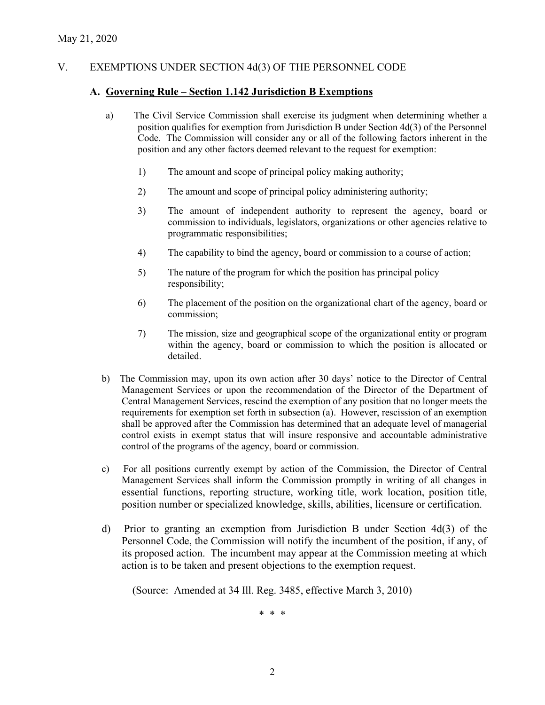# V. EXEMPTIONS UNDER SECTION 4d(3) OF THE PERSONNEL CODE

#### **A. Governing Rule – Section 1.142 Jurisdiction B Exemptions**

- a) The Civil Service Commission shall exercise its judgment when determining whether a position qualifies for exemption from Jurisdiction B under Section 4d(3) of the Personnel Code. The Commission will consider any or all of the following factors inherent in the position and any other factors deemed relevant to the request for exemption:
	- 1) The amount and scope of principal policy making authority;
	- 2) The amount and scope of principal policy administering authority;
	- 3) The amount of independent authority to represent the agency, board or commission to individuals, legislators, organizations or other agencies relative to programmatic responsibilities;
	- 4) The capability to bind the agency, board or commission to a course of action;
	- 5) The nature of the program for which the position has principal policy responsibility;
	- 6) The placement of the position on the organizational chart of the agency, board or commission;
	- 7) The mission, size and geographical scope of the organizational entity or program within the agency, board or commission to which the position is allocated or detailed.
- b) The Commission may, upon its own action after 30 days' notice to the Director of Central Management Services or upon the recommendation of the Director of the Department of Central Management Services, rescind the exemption of any position that no longer meets the requirements for exemption set forth in subsection (a). However, rescission of an exemption shall be approved after the Commission has determined that an adequate level of managerial control exists in exempt status that will insure responsive and accountable administrative control of the programs of the agency, board or commission.
- c) For all positions currently exempt by action of the Commission, the Director of Central Management Services shall inform the Commission promptly in writing of all changes in essential functions, reporting structure, working title, work location, position title, position number or specialized knowledge, skills, abilities, licensure or certification.
- d) Prior to granting an exemption from Jurisdiction B under Section 4d(3) of the Personnel Code, the Commission will notify the incumbent of the position, if any, of its proposed action. The incumbent may appear at the Commission meeting at which action is to be taken and present objections to the exemption request.

(Source: Amended at 34 Ill. Reg. 3485, effective March 3, 2010)

\* \* \*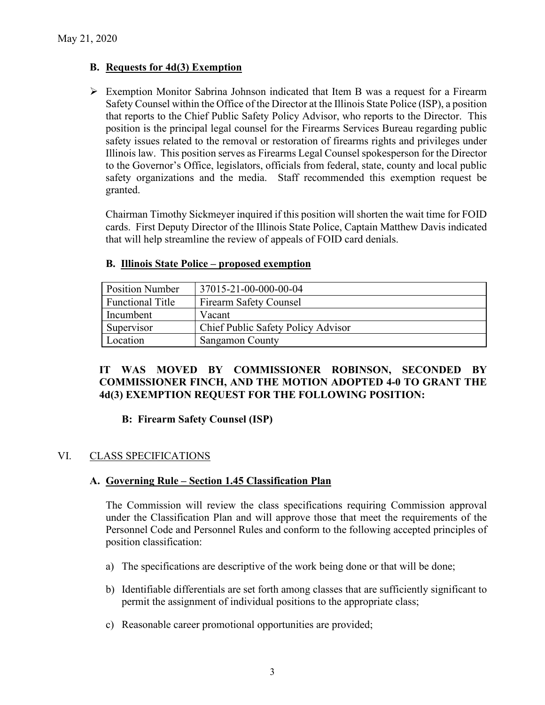## **B. Requests for 4d(3) Exemption**

 $\triangleright$  Exemption Monitor Sabrina Johnson indicated that Item B was a request for a Firearm Safety Counsel within the Office of the Director at the Illinois State Police (ISP), a position that reports to the Chief Public Safety Policy Advisor, who reports to the Director. This position is the principal legal counsel for the Firearms Services Bureau regarding public safety issues related to the removal or restoration of firearms rights and privileges under Illinois law. This position serves as Firearms Legal Counsel spokesperson for the Director to the Governor's Office, legislators, officials from federal, state, county and local public safety organizations and the media. Staff recommended this exemption request be granted.

Chairman Timothy Sickmeyer inquired if this position will shorten the wait time for FOID cards. First Deputy Director of the Illinois State Police, Captain Matthew Davis indicated that will help streamline the review of appeals of FOID card denials.

| <b>Position Number</b>  | 37015-21-00-000-00-04              |
|-------------------------|------------------------------------|
| <b>Functional Title</b> | <b>Firearm Safety Counsel</b>      |
| Incumbent               | Vacant                             |
| Supervisor              | Chief Public Safety Policy Advisor |
| Location                | <b>Sangamon County</b>             |

## **B. Illinois State Police – proposed exemption**

## **IT WAS MOVED BY COMMISSIONER ROBINSON, SECONDED BY COMMISSIONER FINCH, AND THE MOTION ADOPTED 4-0 TO GRANT THE 4d(3) EXEMPTION REQUEST FOR THE FOLLOWING POSITION:**

## **B: Firearm Safety Counsel (ISP)**

# VI. CLASS SPECIFICATIONS

## **A. Governing Rule – Section 1.45 Classification Plan**

The Commission will review the class specifications requiring Commission approval under the Classification Plan and will approve those that meet the requirements of the Personnel Code and Personnel Rules and conform to the following accepted principles of position classification:

- a) The specifications are descriptive of the work being done or that will be done;
- b) Identifiable differentials are set forth among classes that are sufficiently significant to permit the assignment of individual positions to the appropriate class;
- c) Reasonable career promotional opportunities are provided;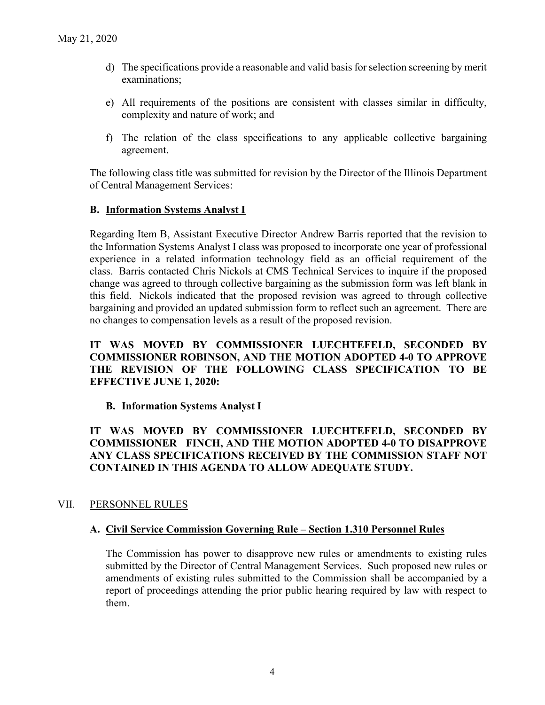- d) The specifications provide a reasonable and valid basis for selection screening by merit examinations;
- e) All requirements of the positions are consistent with classes similar in difficulty, complexity and nature of work; and
- f) The relation of the class specifications to any applicable collective bargaining agreement.

The following class title was submitted for revision by the Director of the Illinois Department of Central Management Services:

## **B. Information Systems Analyst I**

Regarding Item B, Assistant Executive Director Andrew Barris reported that the revision to the Information Systems Analyst I class was proposed to incorporate one year of professional experience in a related information technology field as an official requirement of the class. Barris contacted Chris Nickols at CMS Technical Services to inquire if the proposed change was agreed to through collective bargaining as the submission form was left blank in this field. Nickols indicated that the proposed revision was agreed to through collective bargaining and provided an updated submission form to reflect such an agreement. There are no changes to compensation levels as a result of the proposed revision.

**IT WAS MOVED BY COMMISSIONER LUECHTEFELD, SECONDED BY COMMISSIONER ROBINSON, AND THE MOTION ADOPTED 4-0 TO APPROVE THE REVISION OF THE FOLLOWING CLASS SPECIFICATION TO BE EFFECTIVE JUNE 1, 2020:**

# **B. Information Systems Analyst I**

# **IT WAS MOVED BY COMMISSIONER LUECHTEFELD, SECONDED BY COMMISSIONER FINCH, AND THE MOTION ADOPTED 4-0 TO DISAPPROVE ANY CLASS SPECIFICATIONS RECEIVED BY THE COMMISSION STAFF NOT CONTAINED IN THIS AGENDA TO ALLOW ADEQUATE STUDY.**

# VII. PERSONNEL RULES

## **A. Civil Service Commission Governing Rule – Section 1.310 Personnel Rules**

The Commission has power to disapprove new rules or amendments to existing rules submitted by the Director of Central Management Services. Such proposed new rules or amendments of existing rules submitted to the Commission shall be accompanied by a report of proceedings attending the prior public hearing required by law with respect to them.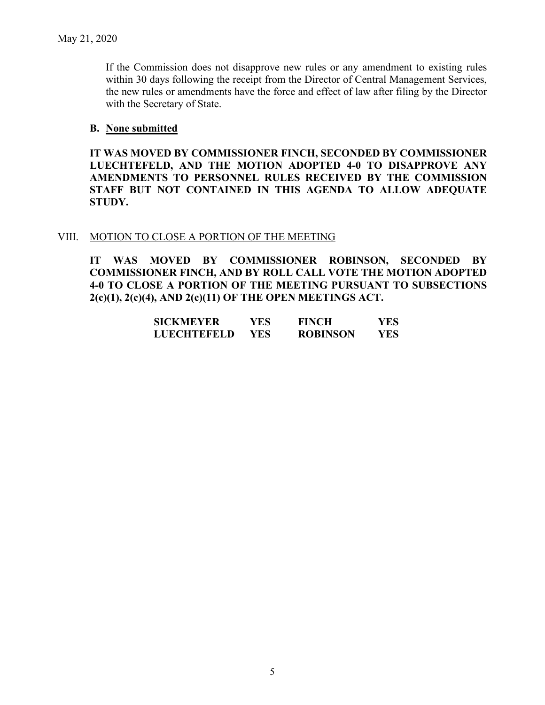If the Commission does not disapprove new rules or any amendment to existing rules within 30 days following the receipt from the Director of Central Management Services, the new rules or amendments have the force and effect of law after filing by the Director with the Secretary of State.

## **B. None submitted**

**IT WAS MOVED BY COMMISSIONER FINCH, SECONDED BY COMMISSIONER LUECHTEFELD, AND THE MOTION ADOPTED 4-0 TO DISAPPROVE ANY AMENDMENTS TO PERSONNEL RULES RECEIVED BY THE COMMISSION STAFF BUT NOT CONTAINED IN THIS AGENDA TO ALLOW ADEQUATE STUDY.** 

## VIII. MOTION TO CLOSE A PORTION OF THE MEETING

**IT WAS MOVED BY COMMISSIONER ROBINSON, SECONDED BY COMMISSIONER FINCH, AND BY ROLL CALL VOTE THE MOTION ADOPTED 4-0 TO CLOSE A PORTION OF THE MEETING PURSUANT TO SUBSECTIONS 2(c)(1), 2(c)(4), AND 2(c)(11) OF THE OPEN MEETINGS ACT.**

| SICKMEYER   | YES. | <b>FINCH</b>    | YES        |
|-------------|------|-----------------|------------|
| LUECHTEFELD | YES. | <b>ROBINSON</b> | <b>YES</b> |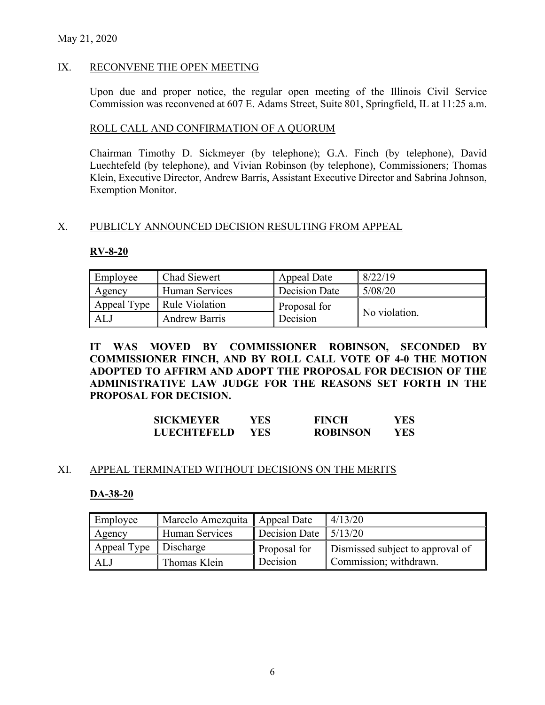## May 21, 2020

## IX. RECONVENE THE OPEN MEETING

Upon due and proper notice, the regular open meeting of the Illinois Civil Service Commission was reconvened at 607 E. Adams Street, Suite 801, Springfield, IL at 11:25 a.m.

## ROLL CALL AND CONFIRMATION OF A QUORUM

Chairman Timothy D. Sickmeyer (by telephone); G.A. Finch (by telephone), David Luechtefeld (by telephone), and Vivian Robinson (by telephone), Commissioners; Thomas Klein, Executive Director, Andrew Barris, Assistant Executive Director and Sabrina Johnson, Exemption Monitor.

## X. PUBLICLY ANNOUNCED DECISION RESULTING FROM APPEAL

#### **RV-8-20**

| Employee | Chad Siewert                 | Appeal Date   | 8/22/19       |
|----------|------------------------------|---------------|---------------|
| Agency   | Human Services               | Decision Date | 5/08/20       |
|          | Appeal Type   Rule Violation | Proposal for  |               |
| ALJ      | <b>Andrew Barris</b>         | Decision      | No violation. |

**IT WAS MOVED BY COMMISSIONER ROBINSON, SECONDED BY COMMISSIONER FINCH, AND BY ROLL CALL VOTE OF 4-0 THE MOTION ADOPTED TO AFFIRM AND ADOPT THE PROPOSAL FOR DECISION OF THE ADMINISTRATIVE LAW JUDGE FOR THE REASONS SET FORTH IN THE PROPOSAL FOR DECISION.**

| <b>SICKMEYER</b>   | YES  | <b>FINCH</b>    | YES |
|--------------------|------|-----------------|-----|
| <b>LUECHTEFELD</b> | YES. | <b>ROBINSON</b> | YES |

## XI. APPEAL TERMINATED WITHOUT DECISIONS ON THE MERITS

#### **DA-38-20**

| Employee                | Marcelo Amezquita | Appeal Date                      | 4/13/20                          |
|-------------------------|-------------------|----------------------------------|----------------------------------|
| Agency                  | Human Services    | Decision Date $\frac{15}{13/20}$ |                                  |
| Appeal Type   Discharge |                   | Proposal for                     | Dismissed subject to approval of |
| ALJ                     | Thomas Klein      | Decision                         | Commission; withdrawn.           |